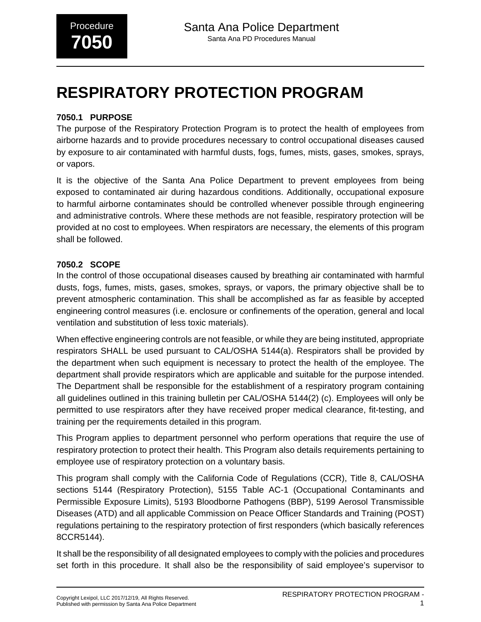## **7050.1 PURPOSE**

The purpose of the Respiratory Protection Program is to protect the health of employees from airborne hazards and to provide procedures necessary to control occupational diseases caused by exposure to air contaminated with harmful dusts, fogs, fumes, mists, gases, smokes, sprays, or vapors.

It is the objective of the Santa Ana Police Department to prevent employees from being exposed to contaminated air during hazardous conditions. Additionally, occupational exposure to harmful airborne contaminates should be controlled whenever possible through engineering and administrative controls. Where these methods are not feasible, respiratory protection will be provided at no cost to employees. When respirators are necessary, the elements of this program shall be followed.

## **7050.2 SCOPE**

In the control of those occupational diseases caused by breathing air contaminated with harmful dusts, fogs, fumes, mists, gases, smokes, sprays, or vapors, the primary objective shall be to prevent atmospheric contamination. This shall be accomplished as far as feasible by accepted engineering control measures (i.e. enclosure or confinements of the operation, general and local ventilation and substitution of less toxic materials).

When effective engineering controls are not feasible, or while they are being instituted, appropriate respirators SHALL be used pursuant to CAL/OSHA 5144(a). Respirators shall be provided by the department when such equipment is necessary to protect the health of the employee. The department shall provide respirators which are applicable and suitable for the purpose intended. The Department shall be responsible for the establishment of a respiratory program containing all guidelines outlined in this training bulletin per CAL/OSHA 5144(2) (c). Employees will only be permitted to use respirators after they have received proper medical clearance, fit-testing, and training per the requirements detailed in this program.

This Program applies to department personnel who perform operations that require the use of respiratory protection to protect their health. This Program also details requirements pertaining to employee use of respiratory protection on a voluntary basis.

This program shall comply with the California Code of Regulations (CCR), Title 8, CAL/OSHA sections 5144 (Respiratory Protection), 5155 Table AC-1 (Occupational Contaminants and Permissible Exposure Limits), 5193 Bloodborne Pathogens (BBP), 5199 Aerosol Transmissible Diseases (ATD) and all applicable Commission on Peace Officer Standards and Training (POST) regulations pertaining to the respiratory protection of first responders (which basically references 8CCR5144).

It shall be the responsibility of all designated employees to comply with the policies and procedures set forth in this procedure. It shall also be the responsibility of said employee's supervisor to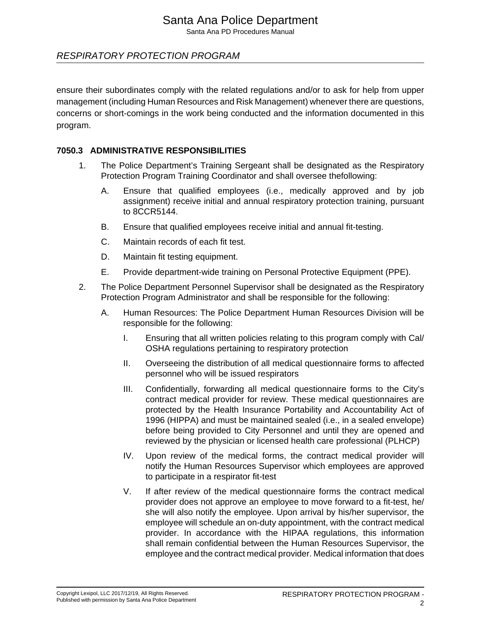Santa Ana PD Procedures Manual

## RESPIRATORY PROTECTION PROGRAM

ensure their subordinates comply with the related regulations and/or to ask for help from upper management (including Human Resources and Risk Management) whenever there are questions, concerns or short-comings in the work being conducted and the information documented in this program.

### **7050.3 ADMINISTRATIVE RESPONSIBILITIES**

- 1. The Police Department's Training Sergeant shall be designated as the Respiratory Protection Program Training Coordinator and shall oversee thefollowing:
	- A. Ensure that qualified employees (i.e., medically approved and by job assignment) receive initial and annual respiratory protection training, pursuant to 8CCR5144.
	- B. Ensure that qualified employees receive initial and annual fit-testing.
	- C. Maintain records of each fit test.
	- D. Maintain fit testing equipment.
	- E. Provide department-wide training on Personal Protective Equipment (PPE).
- 2. The Police Department Personnel Supervisor shall be designated as the Respiratory Protection Program Administrator and shall be responsible for the following:
	- A. Human Resources: The Police Department Human Resources Division will be responsible for the following:
		- I. Ensuring that all written policies relating to this program comply with Cal/ OSHA regulations pertaining to respiratory protection
		- II. Overseeing the distribution of all medical questionnaire forms to affected personnel who will be issued respirators
		- III. Confidentially, forwarding all medical questionnaire forms to the City's contract medical provider for review. These medical questionnaires are protected by the Health Insurance Portability and Accountability Act of 1996 (HIPPA) and must be maintained sealed (i.e., in a sealed envelope) before being provided to City Personnel and until they are opened and reviewed by the physician or licensed health care professional (PLHCP)
		- IV. Upon review of the medical forms, the contract medical provider will notify the Human Resources Supervisor which employees are approved to participate in a respirator fit-test
		- V. If after review of the medical questionnaire forms the contract medical provider does not approve an employee to move forward to a fit-test, he/ she will also notify the employee. Upon arrival by his/her supervisor, the employee will schedule an on-duty appointment, with the contract medical provider. In accordance with the HIPAA regulations, this information shall remain confidential between the Human Resources Supervisor, the employee and the contract medical provider. Medical information that does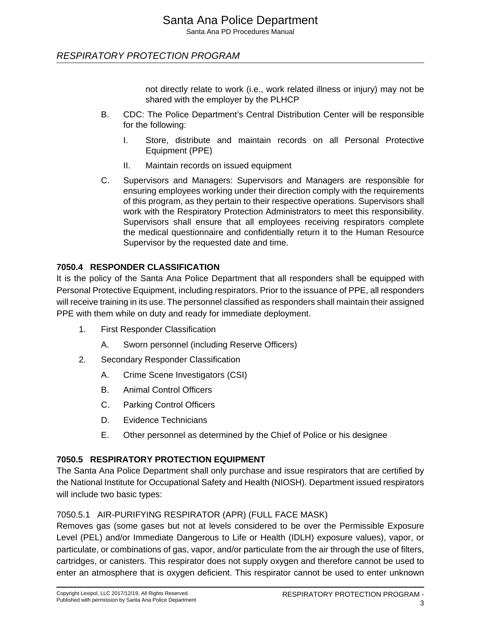Santa Ana PD Procedures Manual

## RESPIRATORY PROTECTION PROGRAM

not directly relate to work (i.e., work related illness or injury) may not be shared with the employer by the PLHCP

- B. CDC: The Police Department's Central Distribution Center will be responsible for the following:
	- I. Store, distribute and maintain records on all Personal Protective Equipment (PPE)
	- II. Maintain records on issued equipment
- C. Supervisors and Managers: Supervisors and Managers are responsible for ensuring employees working under their direction comply with the requirements of this program, as they pertain to their respective operations. Supervisors shall work with the Respiratory Protection Administrators to meet this responsibility. Supervisors shall ensure that all employees receiving respirators complete the medical questionnaire and confidentially return it to the Human Resource Supervisor by the requested date and time.

## **7050.4 RESPONDER CLASSIFICATION**

It is the policy of the Santa Ana Police Department that all responders shall be equipped with Personal Protective Equipment, including respirators. Prior to the issuance of PPE, all responders will receive training in its use. The personnel classified as responders shall maintain their assigned PPE with them while on duty and ready for immediate deployment.

- 1. First Responder Classification
	- A. Sworn personnel (including Reserve Officers)
- 2. Secondary Responder Classification
	- A. Crime Scene Investigators (CSI)
	- B. Animal Control Officers
	- C. Parking Control Officers
	- D. Evidence Technicians
	- E. Other personnel as determined by the Chief of Police or his designee

## **7050.5 RESPIRATORY PROTECTION EQUIPMENT**

The Santa Ana Police Department shall only purchase and issue respirators that are certified by the National Institute for Occupational Safety and Health (NIOSH). Department issued respirators will include two basic types:

#### 7050.5.1 AIR-PURIFYING RESPIRATOR (APR) (FULL FACE MASK)

Removes gas (some gases but not at levels considered to be over the Permissible Exposure Level (PEL) and/or Immediate Dangerous to Life or Health (IDLH) exposure values), vapor, or particulate, or combinations of gas, vapor, and/or particulate from the air through the use of filters, cartridges, or canisters. This respirator does not supply oxygen and therefore cannot be used to enter an atmosphere that is oxygen deficient. This respirator cannot be used to enter unknown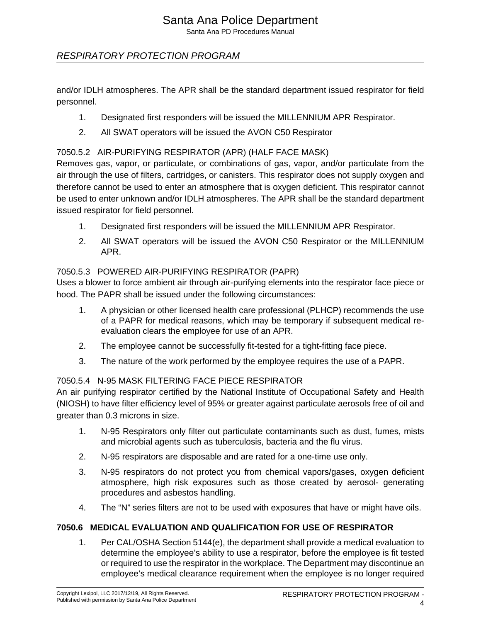Santa Ana PD Procedures Manual

## RESPIRATORY PROTECTION PROGRAM

and/or IDLH atmospheres. The APR shall be the standard department issued respirator for field personnel.

- 1. Designated first responders will be issued the MILLENNIUM APR Respirator.
- 2. All SWAT operators will be issued the AVON C50 Respirator

### 7050.5.2 AIR-PURIFYING RESPIRATOR (APR) (HALF FACE MASK)

Removes gas, vapor, or particulate, or combinations of gas, vapor, and/or particulate from the air through the use of filters, cartridges, or canisters. This respirator does not supply oxygen and therefore cannot be used to enter an atmosphere that is oxygen deficient. This respirator cannot be used to enter unknown and/or IDLH atmospheres. The APR shall be the standard department issued respirator for field personnel.

- 1. Designated first responders will be issued the MILLENNIUM APR Respirator.
- 2. All SWAT operators will be issued the AVON C50 Respirator or the MILLENNIUM APR.

#### 7050.5.3 POWERED AIR-PURIFYING RESPIRATOR (PAPR)

Uses a blower to force ambient air through air-purifying elements into the respirator face piece or hood. The PAPR shall be issued under the following circumstances:

- 1. A physician or other licensed health care professional (PLHCP) recommends the use of a PAPR for medical reasons, which may be temporary if subsequent medical reevaluation clears the employee for use of an APR.
- 2. The employee cannot be successfully fit-tested for a tight-fitting face piece.
- 3. The nature of the work performed by the employee requires the use of a PAPR.

#### 7050.5.4 N-95 MASK FILTERING FACE PIECE RESPIRATOR

An air purifying respirator certified by the National Institute of Occupational Safety and Health (NIOSH) to have filter efficiency level of 95% or greater against particulate aerosols free of oil and greater than 0.3 microns in size.

- 1. N-95 Respirators only filter out particulate contaminants such as dust, fumes, mists and microbial agents such as tuberculosis, bacteria and the flu virus.
- 2. N-95 respirators are disposable and are rated for a one-time use only.
- 3. N-95 respirators do not protect you from chemical vapors/gases, oxygen deficient atmosphere, high risk exposures such as those created by aerosol- generating procedures and asbestos handling.
- 4. The "N" series filters are not to be used with exposures that have or might have oils.

## **7050.6 MEDICAL EVALUATION AND QUALIFICATION FOR USE OF RESPIRATOR**

1. Per CAL/OSHA Section 5144(e), the department shall provide a medical evaluation to determine the employee's ability to use a respirator, before the employee is fit tested or required to use the respirator in the workplace. The Department may discontinue an employee's medical clearance requirement when the employee is no longer required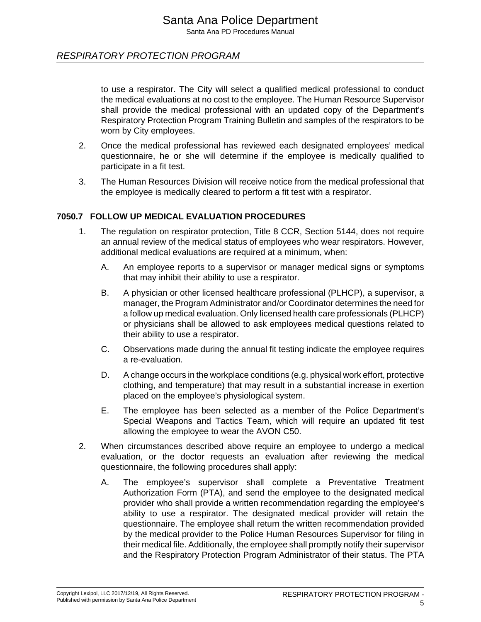to use a respirator. The City will select a qualified medical professional to conduct the medical evaluations at no cost to the employee. The Human Resource Supervisor shall provide the medical professional with an updated copy of the Department's Respiratory Protection Program Training Bulletin and samples of the respirators to be worn by City employees.

- 2. Once the medical professional has reviewed each designated employees' medical questionnaire, he or she will determine if the employee is medically qualified to participate in a fit test.
- 3. The Human Resources Division will receive notice from the medical professional that the employee is medically cleared to perform a fit test with a respirator.

#### **7050.7 FOLLOW UP MEDICAL EVALUATION PROCEDURES**

- 1. The regulation on respirator protection, Title 8 CCR, Section 5144, does not require an annual review of the medical status of employees who wear respirators. However, additional medical evaluations are required at a minimum, when:
	- A. An employee reports to a supervisor or manager medical signs or symptoms that may inhibit their ability to use a respirator.
	- B. A physician or other licensed healthcare professional (PLHCP), a supervisor, a manager, the Program Administrator and/or Coordinator determines the need for a follow up medical evaluation. Only licensed health care professionals (PLHCP) or physicians shall be allowed to ask employees medical questions related to their ability to use a respirator.
	- C. Observations made during the annual fit testing indicate the employee requires a re-evaluation.
	- D. A change occurs in the workplace conditions (e.g. physical work effort, protective clothing, and temperature) that may result in a substantial increase in exertion placed on the employee's physiological system.
	- E. The employee has been selected as a member of the Police Department's Special Weapons and Tactics Team, which will require an updated fit test allowing the employee to wear the AVON C50.
- 2. When circumstances described above require an employee to undergo a medical evaluation, or the doctor requests an evaluation after reviewing the medical questionnaire, the following procedures shall apply:
	- A. The employee's supervisor shall complete a Preventative Treatment Authorization Form (PTA), and send the employee to the designated medical provider who shall provide a written recommendation regarding the employee's ability to use a respirator. The designated medical provider will retain the questionnaire. The employee shall return the written recommendation provided by the medical provider to the Police Human Resources Supervisor for filing in their medical file. Additionally, the employee shall promptly notify their supervisor and the Respiratory Protection Program Administrator of their status. The PTA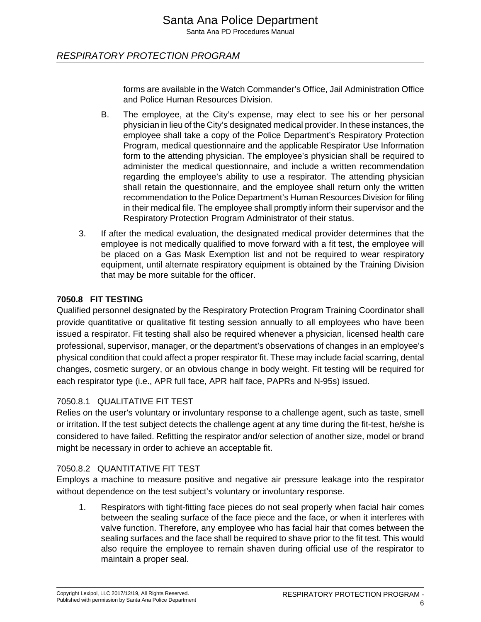forms are available in the Watch Commander's Office, Jail Administration Office and Police Human Resources Division.

- B. The employee, at the City's expense, may elect to see his or her personal physician in lieu of the City's designated medical provider. In these instances, the employee shall take a copy of the Police Department's Respiratory Protection Program, medical questionnaire and the applicable Respirator Use Information form to the attending physician. The employee's physician shall be required to administer the medical questionnaire, and include a written recommendation regarding the employee's ability to use a respirator. The attending physician shall retain the questionnaire, and the employee shall return only the written recommendation to the Police Department's Human Resources Division for filing in their medical file. The employee shall promptly inform their supervisor and the Respiratory Protection Program Administrator of their status.
- 3. If after the medical evaluation, the designated medical provider determines that the employee is not medically qualified to move forward with a fit test, the employee will be placed on a Gas Mask Exemption list and not be required to wear respiratory equipment, until alternate respiratory equipment is obtained by the Training Division that may be more suitable for the officer.

#### **7050.8 FIT TESTING**

Qualified personnel designated by the Respiratory Protection Program Training Coordinator shall provide quantitative or qualitative fit testing session annually to all employees who have been issued a respirator. Fit testing shall also be required whenever a physician, licensed health care professional, supervisor, manager, or the department's observations of changes in an employee's physical condition that could affect a proper respirator fit. These may include facial scarring, dental changes, cosmetic surgery, or an obvious change in body weight. Fit testing will be required for each respirator type (i.e., APR full face, APR half face, PAPRs and N-95s) issued.

## 7050.8.1 QUALITATIVE FIT TEST

Relies on the user's voluntary or involuntary response to a challenge agent, such as taste, smell or irritation. If the test subject detects the challenge agent at any time during the fit-test, he/she is considered to have failed. Refitting the respirator and/or selection of another size, model or brand might be necessary in order to achieve an acceptable fit.

#### 7050.8.2 QUANTITATIVE FIT TEST

Employs a machine to measure positive and negative air pressure leakage into the respirator without dependence on the test subject's voluntary or involuntary response.

1. Respirators with tight-fitting face pieces do not seal properly when facial hair comes between the sealing surface of the face piece and the face, or when it interferes with valve function. Therefore, any employee who has facial hair that comes between the sealing surfaces and the face shall be required to shave prior to the fit test. This would also require the employee to remain shaven during official use of the respirator to maintain a proper seal.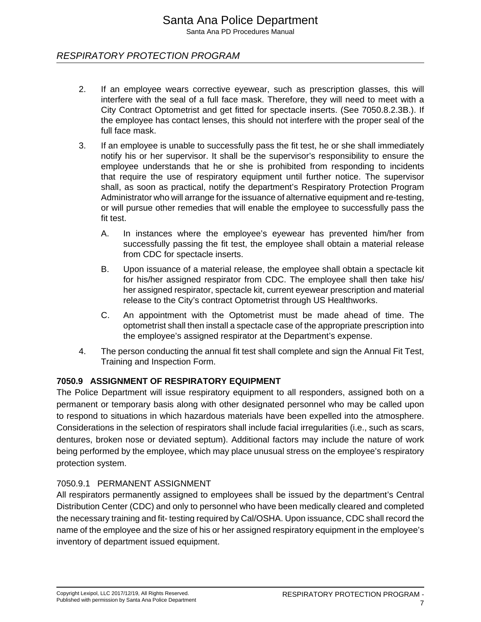Santa Ana PD Procedures Manual

## RESPIRATORY PROTECTION PROGRAM

- 2. If an employee wears corrective eyewear, such as prescription glasses, this will interfere with the seal of a full face mask. Therefore, they will need to meet with a City Contract Optometrist and get fitted for spectacle inserts. (See 7050.8.2.3B.). If the employee has contact lenses, this should not interfere with the proper seal of the full face mask.
- 3. If an employee is unable to successfully pass the fit test, he or she shall immediately notify his or her supervisor. It shall be the supervisor's responsibility to ensure the employee understands that he or she is prohibited from responding to incidents that require the use of respiratory equipment until further notice. The supervisor shall, as soon as practical, notify the department's Respiratory Protection Program Administrator who will arrange for the issuance of alternative equipment and re-testing, or will pursue other remedies that will enable the employee to successfully pass the fit test.
	- A. In instances where the employee's eyewear has prevented him/her from successfully passing the fit test, the employee shall obtain a material release from CDC for spectacle inserts.
	- B. Upon issuance of a material release, the employee shall obtain a spectacle kit for his/her assigned respirator from CDC. The employee shall then take his/ her assigned respirator, spectacle kit, current eyewear prescription and material release to the City's contract Optometrist through US Healthworks.
	- C. An appointment with the Optometrist must be made ahead of time. The optometrist shall then install a spectacle case of the appropriate prescription into the employee's assigned respirator at the Department's expense.
- 4. The person conducting the annual fit test shall complete and sign the Annual Fit Test, Training and Inspection Form.

## **7050.9 ASSIGNMENT OF RESPIRATORY EQUIPMENT**

The Police Department will issue respiratory equipment to all responders, assigned both on a permanent or temporary basis along with other designated personnel who may be called upon to respond to situations in which hazardous materials have been expelled into the atmosphere. Considerations in the selection of respirators shall include facial irregularities (i.e., such as scars, dentures, broken nose or deviated septum). Additional factors may include the nature of work being performed by the employee, which may place unusual stress on the employee's respiratory protection system.

#### 7050.9.1 PERMANENT ASSIGNMENT

All respirators permanently assigned to employees shall be issued by the department's Central Distribution Center (CDC) and only to personnel who have been medically cleared and completed the necessary training and fit- testing required by Cal/OSHA. Upon issuance, CDC shall record the name of the employee and the size of his or her assigned respiratory equipment in the employee's inventory of department issued equipment.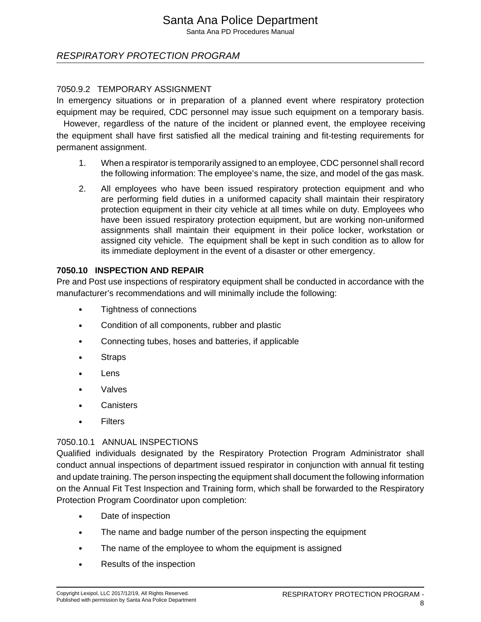Santa Ana PD Procedures Manual

## RESPIRATORY PROTECTION PROGRAM

#### 7050.9.2 TEMPORARY ASSIGNMENT

In emergency situations or in preparation of a planned event where respiratory protection equipment may be required, CDC personnel may issue such equipment on a temporary basis.

 However, regardless of the nature of the incident or planned event, the employee receiving the equipment shall have first satisfied all the medical training and fit-testing requirements for permanent assignment.

- 1. When a respirator is temporarily assigned to an employee, CDC personnel shall record the following information: The employee's name, the size, and model of the gas mask.
- 2. All employees who have been issued respiratory protection equipment and who are performing field duties in a uniformed capacity shall maintain their respiratory protection equipment in their city vehicle at all times while on duty. Employees who have been issued respiratory protection equipment, but are working non-uniformed assignments shall maintain their equipment in their police locker, workstation or assigned city vehicle. The equipment shall be kept in such condition as to allow for its immediate deployment in the event of a disaster or other emergency.

#### **7050.10 INSPECTION AND REPAIR**

Pre and Post use inspections of respiratory equipment shall be conducted in accordance with the manufacturer's recommendations and will minimally include the following:

- Tightness of connections
- Condition of all components, rubber and plastic
- Connecting tubes, hoses and batteries, if applicable
- **Straps**
- Lens
- Valves
- Canisters
- Filters

## 7050.10.1 ANNUAL INSPECTIONS

Qualified individuals designated by the Respiratory Protection Program Administrator shall conduct annual inspections of department issued respirator in conjunction with annual fit testing and update training. The person inspecting the equipment shall document the following information on the Annual Fit Test Inspection and Training form, which shall be forwarded to the Respiratory Protection Program Coordinator upon completion:

- Date of inspection
- The name and badge number of the person inspecting the equipment
- The name of the employee to whom the equipment is assigned
- Results of the inspection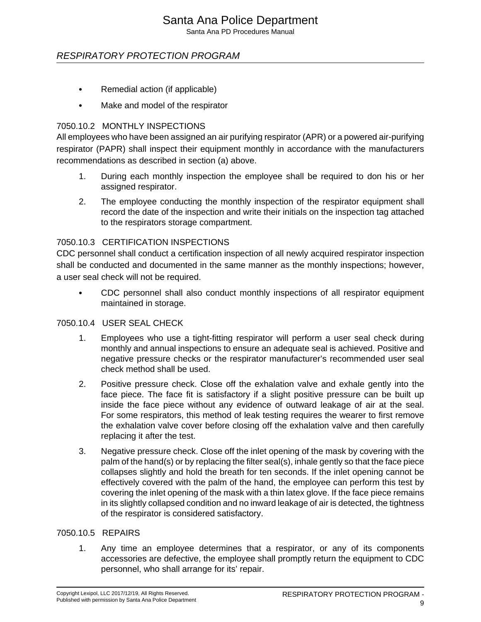Santa Ana PD Procedures Manual

## RESPIRATORY PROTECTION PROGRAM

- Remedial action (if applicable)
- Make and model of the respirator

#### 7050.10.2 MONTHLY INSPECTIONS

All employees who have been assigned an air purifying respirator (APR) or a powered air-purifying respirator (PAPR) shall inspect their equipment monthly in accordance with the manufacturers recommendations as described in section (a) above.

- 1. During each monthly inspection the employee shall be required to don his or her assigned respirator.
- 2. The employee conducting the monthly inspection of the respirator equipment shall record the date of the inspection and write their initials on the inspection tag attached to the respirators storage compartment.

#### 7050.10.3 CERTIFICATION INSPECTIONS

CDC personnel shall conduct a certification inspection of all newly acquired respirator inspection shall be conducted and documented in the same manner as the monthly inspections; however, a user seal check will not be required.

• CDC personnel shall also conduct monthly inspections of all respirator equipment maintained in storage.

#### 7050.10.4 USER SEAL CHECK

- 1. Employees who use a tight-fitting respirator will perform a user seal check during monthly and annual inspections to ensure an adequate seal is achieved. Positive and negative pressure checks or the respirator manufacturer's recommended user seal check method shall be used.
- 2. Positive pressure check. Close off the exhalation valve and exhale gently into the face piece. The face fit is satisfactory if a slight positive pressure can be built up inside the face piece without any evidence of outward leakage of air at the seal. For some respirators, this method of leak testing requires the wearer to first remove the exhalation valve cover before closing off the exhalation valve and then carefully replacing it after the test.
- 3. Negative pressure check. Close off the inlet opening of the mask by covering with the palm of the hand(s) or by replacing the filter seal(s), inhale gently so that the face piece collapses slightly and hold the breath for ten seconds. If the inlet opening cannot be effectively covered with the palm of the hand, the employee can perform this test by covering the inlet opening of the mask with a thin latex glove. If the face piece remains in its slightly collapsed condition and no inward leakage of air is detected, the tightness of the respirator is considered satisfactory.

#### 7050.10.5 REPAIRS

1. Any time an employee determines that a respirator, or any of its components accessories are defective, the employee shall promptly return the equipment to CDC personnel, who shall arrange for its' repair.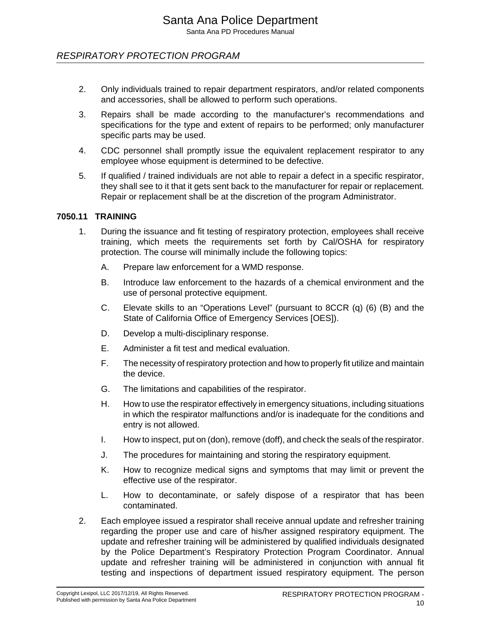- 2. Only individuals trained to repair department respirators, and/or related components and accessories, shall be allowed to perform such operations.
- 3. Repairs shall be made according to the manufacturer's recommendations and specifications for the type and extent of repairs to be performed; only manufacturer specific parts may be used.
- 4. CDC personnel shall promptly issue the equivalent replacement respirator to any employee whose equipment is determined to be defective.
- 5. If qualified / trained individuals are not able to repair a defect in a specific respirator, they shall see to it that it gets sent back to the manufacturer for repair or replacement. Repair or replacement shall be at the discretion of the program Administrator.

#### **7050.11 TRAINING**

- 1. During the issuance and fit testing of respiratory protection, employees shall receive training, which meets the requirements set forth by Cal/OSHA for respiratory protection. The course will minimally include the following topics:
	- A. Prepare law enforcement for a WMD response.
	- B. Introduce law enforcement to the hazards of a chemical environment and the use of personal protective equipment.
	- C. Elevate skills to an "Operations Level" (pursuant to 8CCR (q) (6) (B) and the State of California Office of Emergency Services [OES]).
	- D. Develop a multi-disciplinary response.
	- E. Administer a fit test and medical evaluation.
	- F. The necessity of respiratory protection and how to properly fit utilize and maintain the device.
	- G. The limitations and capabilities of the respirator.
	- H. How to use the respirator effectively in emergency situations, including situations in which the respirator malfunctions and/or is inadequate for the conditions and entry is not allowed.
	- I. How to inspect, put on (don), remove (doff), and check the seals of the respirator.
	- J. The procedures for maintaining and storing the respiratory equipment.
	- K. How to recognize medical signs and symptoms that may limit or prevent the effective use of the respirator.
	- L. How to decontaminate, or safely dispose of a respirator that has been contaminated.
- 2. Each employee issued a respirator shall receive annual update and refresher training regarding the proper use and care of his/her assigned respiratory equipment. The update and refresher training will be administered by qualified individuals designated by the Police Department's Respiratory Protection Program Coordinator. Annual update and refresher training will be administered in conjunction with annual fit testing and inspections of department issued respiratory equipment. The person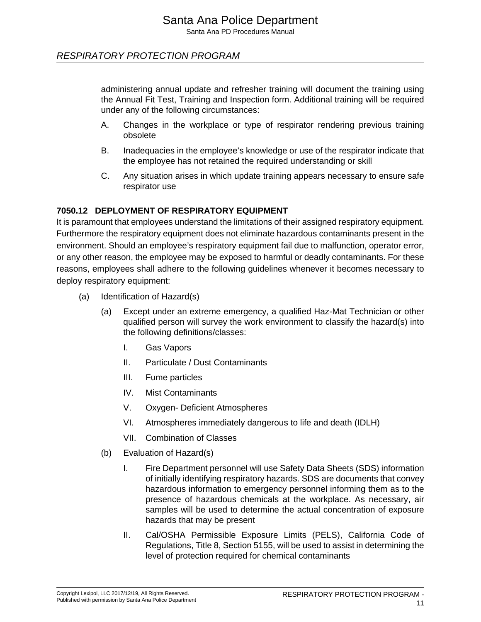administering annual update and refresher training will document the training using the Annual Fit Test, Training and Inspection form. Additional training will be required under any of the following circumstances:

- A. Changes in the workplace or type of respirator rendering previous training obsolete
- B. Inadequacies in the employee's knowledge or use of the respirator indicate that the employee has not retained the required understanding or skill
- C. Any situation arises in which update training appears necessary to ensure safe respirator use

## **7050.12 DEPLOYMENT OF RESPIRATORY EQUIPMENT**

It is paramount that employees understand the limitations of their assigned respiratory equipment. Furthermore the respiratory equipment does not eliminate hazardous contaminants present in the environment. Should an employee's respiratory equipment fail due to malfunction, operator error, or any other reason, the employee may be exposed to harmful or deadly contaminants. For these reasons, employees shall adhere to the following guidelines whenever it becomes necessary to deploy respiratory equipment:

- (a) Identification of Hazard(s)
	- (a) Except under an extreme emergency, a qualified Haz-Mat Technician or other qualified person will survey the work environment to classify the hazard(s) into the following definitions/classes:
		- I. Gas Vapors
		- II. Particulate / Dust Contaminants
		- III. Fume particles
		- IV. Mist Contaminants
		- V. Oxygen- Deficient Atmospheres
		- VI. Atmospheres immediately dangerous to life and death (IDLH)
		- VII. Combination of Classes
	- (b) Evaluation of Hazard(s)
		- I. Fire Department personnel will use Safety Data Sheets (SDS) information of initially identifying respiratory hazards. SDS are documents that convey hazardous information to emergency personnel informing them as to the presence of hazardous chemicals at the workplace. As necessary, air samples will be used to determine the actual concentration of exposure hazards that may be present
		- II. Cal/OSHA Permissible Exposure Limits (PELS), California Code of Regulations, Title 8, Section 5155, will be used to assist in determining the level of protection required for chemical contaminants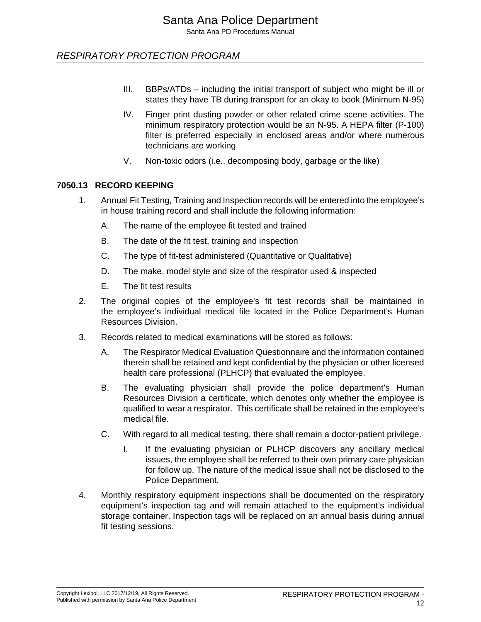- III. BBPs/ATDs including the initial transport of subject who might be ill or states they have TB during transport for an okay to book (Minimum N-95)
- IV. Finger print dusting powder or other related crime scene activities. The minimum respiratory protection would be an N-95. A HEPA filter (P-100) filter is preferred especially in enclosed areas and/or where numerous technicians are working
- V. Non-toxic odors (i.e., decomposing body, garbage or the like)

#### **7050.13 RECORD KEEPING**

- 1. Annual Fit Testing, Training and Inspection records will be entered into the employee's in house training record and shall include the following information:
	- A. The name of the employee fit tested and trained
	- B. The date of the fit test, training and inspection
	- C. The type of fit-test administered (Quantitative or Qualitative)
	- D. The make, model style and size of the respirator used & inspected
	- E. The fit test results
- 2. The original copies of the employee's fit test records shall be maintained in the employee's individual medical file located in the Police Department's Human Resources Division.
- 3. Records related to medical examinations will be stored as follows:
	- A. The Respirator Medical Evaluation Questionnaire and the information contained therein shall be retained and kept confidential by the physician or other licensed health care professional (PLHCP) that evaluated the employee.
	- B. The evaluating physician shall provide the police department's Human Resources Division a certificate, which denotes only whether the employee is qualified to wear a respirator. This certificate shall be retained in the employee's medical file.
	- C. With regard to all medical testing, there shall remain a doctor-patient privilege.
		- I. If the evaluating physician or PLHCP discovers any ancillary medical issues, the employee shall be referred to their own primary care physician for follow up. The nature of the medical issue shall not be disclosed to the Police Department.
- 4. Monthly respiratory equipment inspections shall be documented on the respiratory equipment's inspection tag and will remain attached to the equipment's individual storage container. Inspection tags will be replaced on an annual basis during annual fit testing sessions.